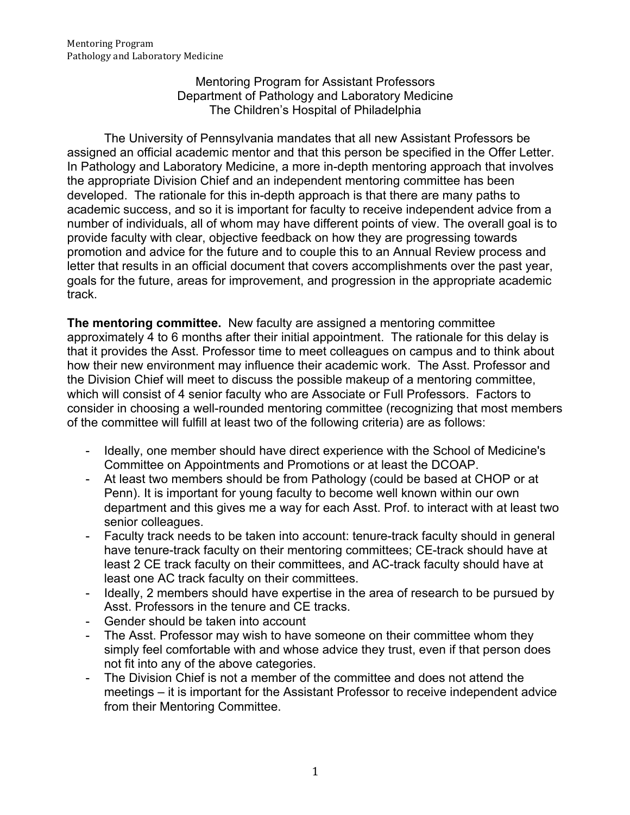Mentoring Program for Assistant Professors Department of Pathology and Laboratory Medicine The Children's Hospital of Philadelphia

The University of Pennsylvania mandates that all new Assistant Professors be assigned an official academic mentor and that this person be specified in the Offer Letter. In Pathology and Laboratory Medicine, a more in-depth mentoring approach that involves the appropriate Division Chief and an independent mentoring committee has been developed. The rationale for this in-depth approach is that there are many paths to academic success, and so it is important for faculty to receive independent advice from a number of individuals, all of whom may have different points of view. The overall goal is to provide faculty with clear, objective feedback on how they are progressing towards promotion and advice for the future and to couple this to an Annual Review process and letter that results in an official document that covers accomplishments over the past year, goals for the future, areas for improvement, and progression in the appropriate academic track.

**The mentoring committee.** New faculty are assigned a mentoring committee approximately 4 to 6 months after their initial appointment. The rationale for this delay is that it provides the Asst. Professor time to meet colleagues on campus and to think about how their new environment may influence their academic work. The Asst. Professor and the Division Chief will meet to discuss the possible makeup of a mentoring committee, which will consist of 4 senior faculty who are Associate or Full Professors. Factors to consider in choosing a well-rounded mentoring committee (recognizing that most members of the committee will fulfill at least two of the following criteria) are as follows:

- Ideally, one member should have direct experience with the School of Medicine's Committee on Appointments and Promotions or at least the DCOAP.
- At least two members should be from Pathology (could be based at CHOP or at Penn). It is important for young faculty to become well known within our own department and this gives me a way for each Asst. Prof. to interact with at least two senior colleagues.
- Faculty track needs to be taken into account: tenure-track faculty should in general have tenure-track faculty on their mentoring committees; CE-track should have at least 2 CE track faculty on their committees, and AC-track faculty should have at least one AC track faculty on their committees.
- Ideally, 2 members should have expertise in the area of research to be pursued by Asst. Professors in the tenure and CE tracks.
- Gender should be taken into account
- The Asst. Professor may wish to have someone on their committee whom they simply feel comfortable with and whose advice they trust, even if that person does not fit into any of the above categories.
- The Division Chief is not a member of the committee and does not attend the meetings – it is important for the Assistant Professor to receive independent advice from their Mentoring Committee.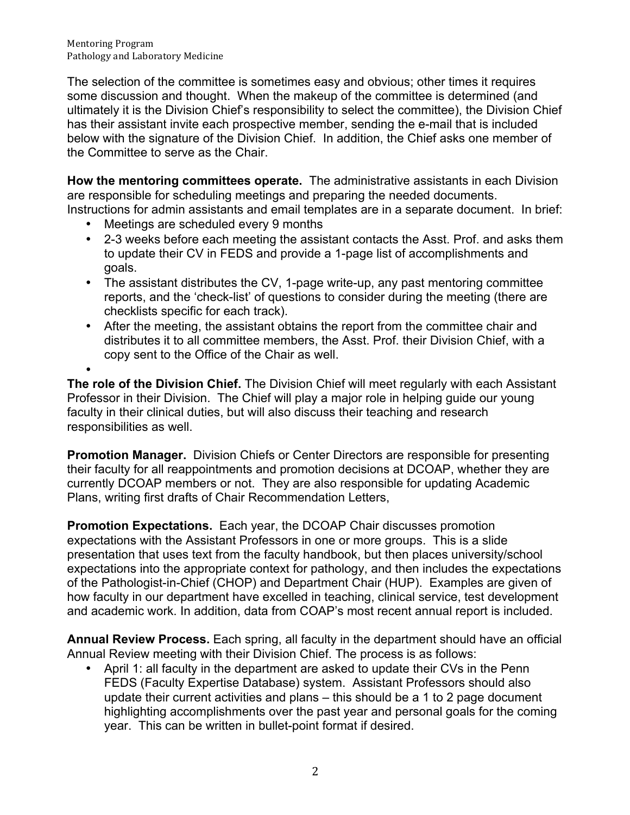Mentoring Program Pathology and Laboratory Medicine

The selection of the committee is sometimes easy and obvious; other times it requires some discussion and thought. When the makeup of the committee is determined (and ultimately it is the Division Chief's responsibility to select the committee), the Division Chief has their assistant invite each prospective member, sending the e-mail that is included below with the signature of the Division Chief. In addition, the Chief asks one member of the Committee to serve as the Chair.

**How the mentoring committees operate.** The administrative assistants in each Division are responsible for scheduling meetings and preparing the needed documents. Instructions for admin assistants and email templates are in a separate document. In brief:

- Meetings are scheduled every 9 months
- 2-3 weeks before each meeting the assistant contacts the Asst. Prof. and asks them to update their CV in FEDS and provide a 1-page list of accomplishments and goals.
- The assistant distributes the CV, 1-page write-up, any past mentoring committee reports, and the 'check-list' of questions to consider during the meeting (there are checklists specific for each track).
- After the meeting, the assistant obtains the report from the committee chair and distributes it to all committee members, the Asst. Prof. their Division Chief, with a copy sent to the Office of the Chair as well.

• **The role of the Division Chief.** The Division Chief will meet regularly with each Assistant Professor in their Division. The Chief will play a major role in helping guide our young faculty in their clinical duties, but will also discuss their teaching and research responsibilities as well.

**Promotion Manager.** Division Chiefs or Center Directors are responsible for presenting their faculty for all reappointments and promotion decisions at DCOAP, whether they are currently DCOAP members or not. They are also responsible for updating Academic Plans, writing first drafts of Chair Recommendation Letters,

**Promotion Expectations.** Each year, the DCOAP Chair discusses promotion expectations with the Assistant Professors in one or more groups. This is a slide presentation that uses text from the faculty handbook, but then places university/school expectations into the appropriate context for pathology, and then includes the expectations of the Pathologist-in-Chief (CHOP) and Department Chair (HUP). Examples are given of how faculty in our department have excelled in teaching, clinical service, test development and academic work. In addition, data from COAP's most recent annual report is included.

**Annual Review Process.** Each spring, all faculty in the department should have an official Annual Review meeting with their Division Chief. The process is as follows:

• April 1: all faculty in the department are asked to update their CVs in the Penn FEDS (Faculty Expertise Database) system. Assistant Professors should also update their current activities and plans – this should be a 1 to 2 page document highlighting accomplishments over the past year and personal goals for the coming year. This can be written in bullet-point format if desired.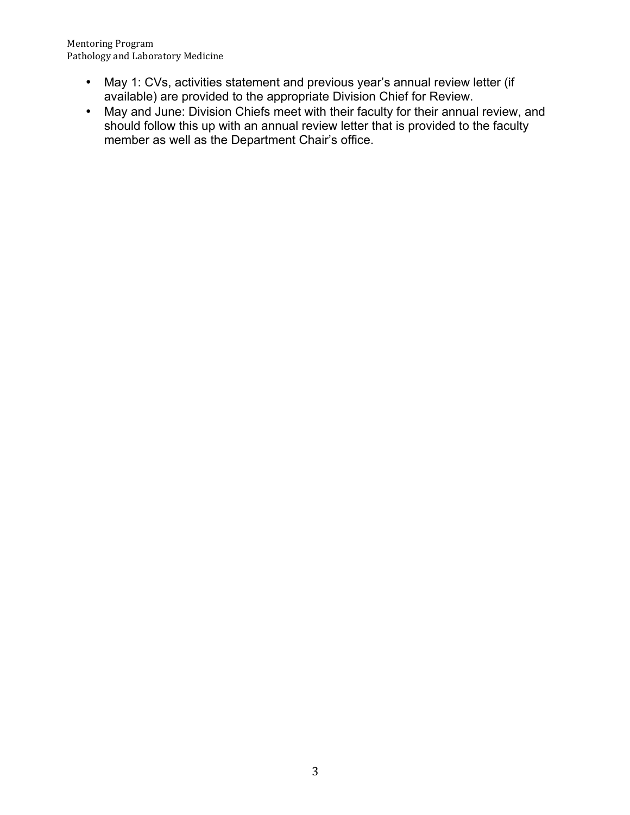Mentoring Program Pathology and Laboratory Medicine

- May 1: CVs, activities statement and previous year's annual review letter (if available) are provided to the appropriate Division Chief for Review.
- May and June: Division Chiefs meet with their faculty for their annual review, and should follow this up with an annual review letter that is provided to the faculty member as well as the Department Chair's office.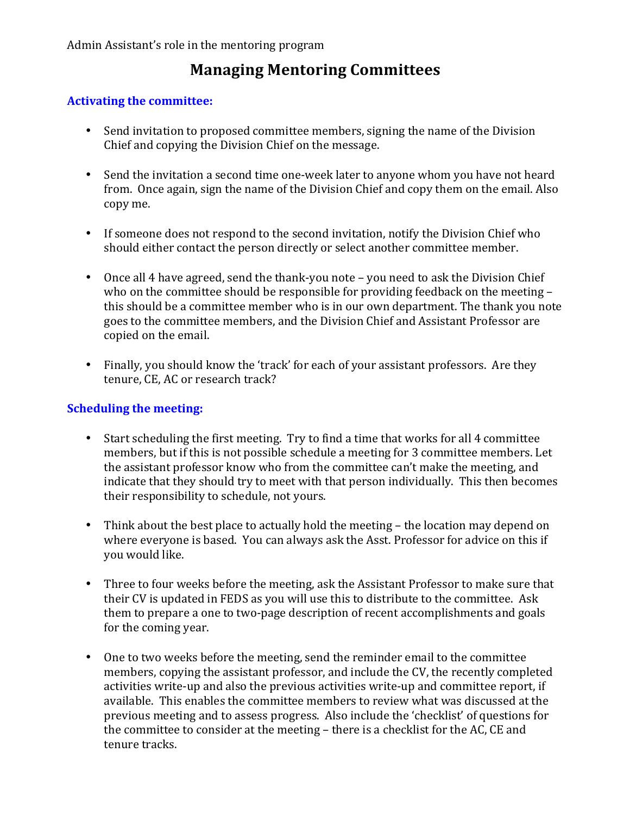## **Managing Mentoring Committees**

### **Activating the committee:**

- Send invitation to proposed committee members, signing the name of the Division Chief and copying the Division Chief on the message.
- Send the invitation a second time one-week later to anyone whom you have not heard from. Once again, sign the name of the Division Chief and copy them on the email. Also copy me.
- If someone does not respond to the second invitation, notify the Division Chief who should either contact the person directly or select another committee member.
- Once all 4 have agreed, send the thank-you note you need to ask the Division Chief who on the committee should be responsible for providing feedback on the meeting  $$ this should be a committee member who is in our own department. The thank you note goes to the committee members, and the Division Chief and Assistant Professor are copied on the email.
- Finally, you should know the 'track' for each of your assistant professors. Are they tenure, CE, AC or research track?

### **Scheduling the meeting:**

- Start scheduling the first meeting. Try to find a time that works for all 4 committee members, but if this is not possible schedule a meeting for 3 committee members. Let the assistant professor know who from the committee can't make the meeting, and indicate that they should try to meet with that person individually. This then becomes their responsibility to schedule, not yours.
- Think about the best place to actually hold the meeting the location may depend on where everyone is based. You can always ask the Asst. Professor for advice on this if you would like.
- Three to four weeks before the meeting, ask the Assistant Professor to make sure that their CV is updated in FEDS as you will use this to distribute to the committee. Ask them to prepare a one to two-page description of recent accomplishments and goals for the coming year.
- One to two weeks before the meeting, send the reminder email to the committee members, copying the assistant professor, and include the CV, the recently completed activities write-up and also the previous activities write-up and committee report, if available. This enables the committee members to review what was discussed at the previous meeting and to assess progress. Also include the 'checklist' of questions for the committee to consider at the meeting – there is a checklist for the AC, CE and tenure tracks.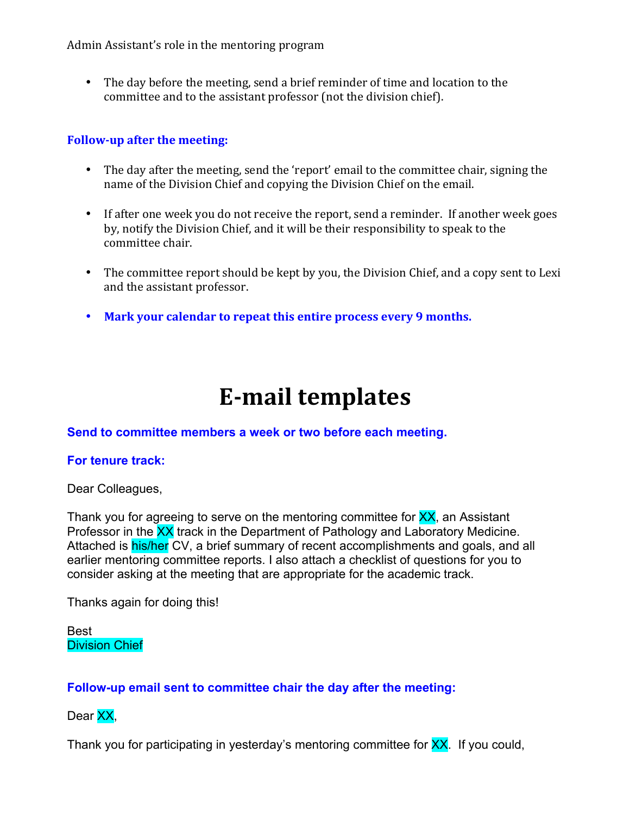Admin Assistant's role in the mentoring program

• The day before the meeting, send a brief reminder of time and location to the committee and to the assistant professor (not the division chief).

### **Follow-up after the meeting:**

- The day after the meeting, send the 'report' email to the committee chair, signing the name of the Division Chief and copying the Division Chief on the email.
- If after one week you do not receive the report, send a reminder. If another week goes by, notify the Division Chief, and it will be their responsibility to speak to the committee chair.
- The committee report should be kept by you, the Division Chief, and a copy sent to Lexi and the assistant professor.
- Mark your calendar to repeat this entire process every 9 months.

# **E-mail templates**

### **Send to committee members a week or two before each meeting.**

### **For tenure track:**

Dear Colleagues,

Thank you for agreeing to serve on the mentoring committee for XX, an Assistant Professor in the XX track in the Department of Pathology and Laboratory Medicine. Attached is his/her CV, a brief summary of recent accomplishments and goals, and all earlier mentoring committee reports. I also attach a checklist of questions for you to consider asking at the meeting that are appropriate for the academic track.

Thanks again for doing this!

Best Division Chief

### **Follow-up email sent to committee chair the day after the meeting:**

Dear XX,

Thank you for participating in yesterday's mentoring committee for **XX**. If you could,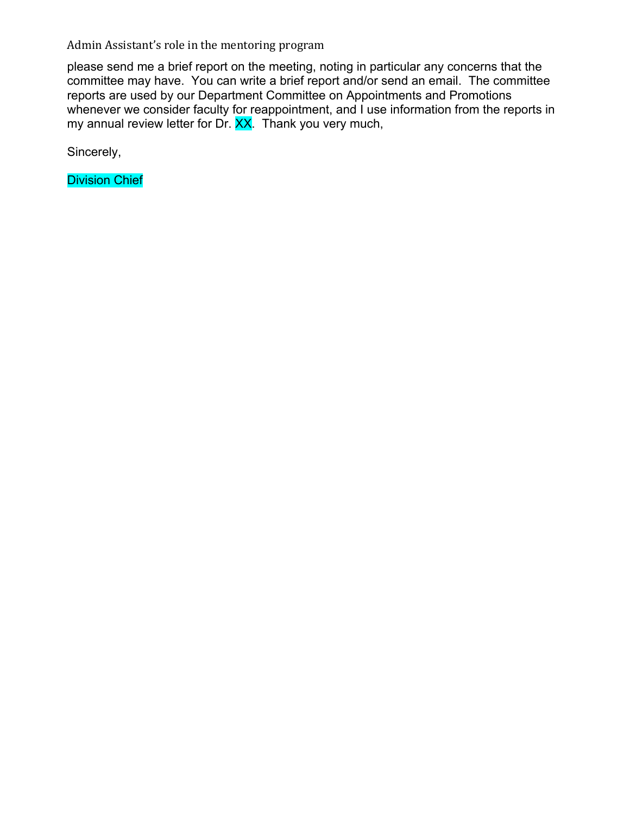Admin Assistant's role in the mentoring program

please send me a brief report on the meeting, noting in particular any concerns that the committee may have. You can write a brief report and/or send an email. The committee reports are used by our Department Committee on Appointments and Promotions whenever we consider faculty for reappointment, and I use information from the reports in my annual review letter for Dr. XX. Thank you very much,

Sincerely,

Division Chief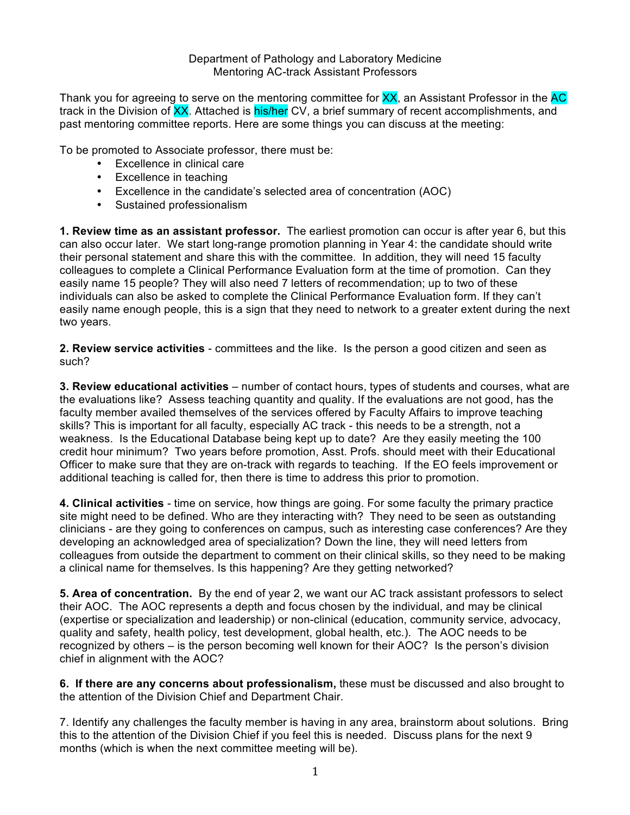Department of Pathology and Laboratory Medicine Mentoring AC-track Assistant Professors

Thank you for agreeing to serve on the mentoring committee for XX, an Assistant Professor in the AC track in the Division of XX. Attached is his/her CV, a brief summary of recent accomplishments, and past mentoring committee reports. Here are some things you can discuss at the meeting:

To be promoted to Associate professor, there must be:

- Excellence in clinical care
- Excellence in teaching
- Excellence in the candidate's selected area of concentration (AOC)
- Sustained professionalism

**1. Review time as an assistant professor.** The earliest promotion can occur is after year 6, but this can also occur later. We start long-range promotion planning in Year 4: the candidate should write their personal statement and share this with the committee. In addition, they will need 15 faculty colleagues to complete a Clinical Performance Evaluation form at the time of promotion. Can they easily name 15 people? They will also need 7 letters of recommendation; up to two of these individuals can also be asked to complete the Clinical Performance Evaluation form. If they can't easily name enough people, this is a sign that they need to network to a greater extent during the next two years.

**2. Review service activities** - committees and the like. Is the person a good citizen and seen as such?

**3. Review educational activities** – number of contact hours, types of students and courses, what are the evaluations like? Assess teaching quantity and quality. If the evaluations are not good, has the faculty member availed themselves of the services offered by Faculty Affairs to improve teaching skills? This is important for all faculty, especially AC track - this needs to be a strength, not a weakness. Is the Educational Database being kept up to date? Are they easily meeting the 100 credit hour minimum? Two years before promotion, Asst. Profs. should meet with their Educational Officer to make sure that they are on-track with regards to teaching. If the EO feels improvement or additional teaching is called for, then there is time to address this prior to promotion.

**4. Clinical activities** - time on service, how things are going. For some faculty the primary practice site might need to be defined. Who are they interacting with? They need to be seen as outstanding clinicians - are they going to conferences on campus, such as interesting case conferences? Are they developing an acknowledged area of specialization? Down the line, they will need letters from colleagues from outside the department to comment on their clinical skills, so they need to be making a clinical name for themselves. Is this happening? Are they getting networked?

**5. Area of concentration.** By the end of year 2, we want our AC track assistant professors to select their AOC. The AOC represents a depth and focus chosen by the individual, and may be clinical (expertise or specialization and leadership) or non-clinical (education, community service, advocacy, quality and safety, health policy, test development, global health, etc.). The AOC needs to be recognized by others – is the person becoming well known for their AOC? Is the person's division chief in alignment with the AOC?

**6. If there are any concerns about professionalism,** these must be discussed and also brought to the attention of the Division Chief and Department Chair.

7. Identify any challenges the faculty member is having in any area, brainstorm about solutions. Bring this to the attention of the Division Chief if you feel this is needed. Discuss plans for the next 9 months (which is when the next committee meeting will be).